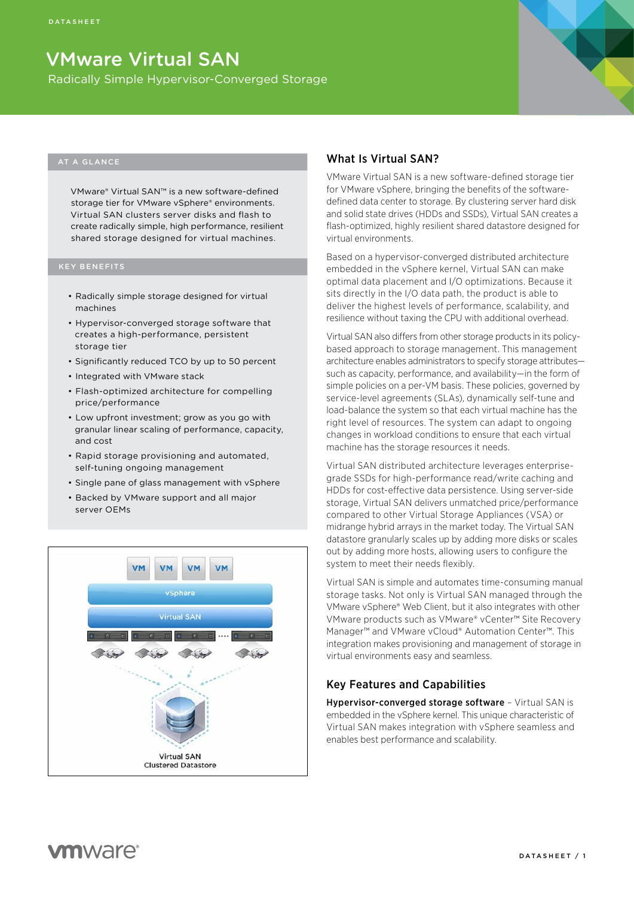# VMware Virtual SAN

Radically Simple Hypervisor-Converged Storage



#### AT A GLANCE

VMware® Virtual SAN™ is a new software-defined storage tier for VMware vSphere® environments. Virtual SAN clusters server disks and flash to create radically simple, high performance, resilient shared storage designed for virtual machines.

- Radically simple storage designed for virtual machines
- • Hypervisor-converged storage software that creates a high-performance, persistent storage tier
- • Significantly reduced TCO by up to 50 percent
- Integrated with VMware stack
- • Flash-optimized architecture for compelling price/performance
- • Low upfront investment; grow as you go with granular linear scaling of performance, capacity, and cost
- • Rapid storage provisioning and automated, self-tuning ongoing management
- • Single pane of glass management with vSphere
- Backed by VMware support and all major server OEMs



## What Is Virtual SAN?

VMware Virtual SAN is a new software-defined storage tier for VMware vSphere, bringing the benefits of the softwaredefined data center to storage. By clustering server hard disk and solid state drives (HDDs and SSDs), Virtual SAN creates a flash-optimized, highly resilient shared datastore designed for virtual environments.

Based on a hypervisor-converged distributed architecture embedded in the vSphere kernel, Virtual SAN can make optimal data placement and I/O optimizations. Because it sits directly in the I/O data path, the product is able to deliver the highest levels of performance, scalability, and resilience without taxing the CPU with additional overhead.

Virtual SAN also differs from other storage products in its policybased approach to storage management. This management architecture enables administrators to specify storage attributes such as capacity, performance, and availability—in the form of simple policies on a per-VM basis. These policies, governed by service-level agreements (SLAs), dynamically self-tune and load-balance the system so that each virtual machine has the right level of resources. The system can adapt to ongoing changes in workload conditions to ensure that each virtual machine has the storage resources it needs.

Virtual SAN distributed architecture leverages enterprisegrade SSDs for high-performance read/write caching and HDDs for cost-effective data persistence. Using server-side storage, Virtual SAN delivers unmatched price/performance compared to other Virtual Storage Appliances (VSA) or midrange hybrid arrays in the market today. The Virtual SAN datastore granularly scales up by adding more disks or scales out by adding more hosts, allowing users to configure the system to meet their needs flexibly.

Virtual SAN is simple and automates time-consuming manual storage tasks. Not only is Virtual SAN managed through the VMware vSphere® Web Client, but it also integrates with other VMware products such as VMware® vCenter™ Site Recovery Manager™ and VMware vCloud® Automation Center™. This integration makes provisioning and management of storage in virtual environments easy and seamless.

## Key Features and Capabilities

Hypervisor-converged storage software – Virtual SAN is embedded in the vSphere kernel. This unique characteristic of Virtual SAN makes integration with vSphere seamless and enables best performance and scalability.